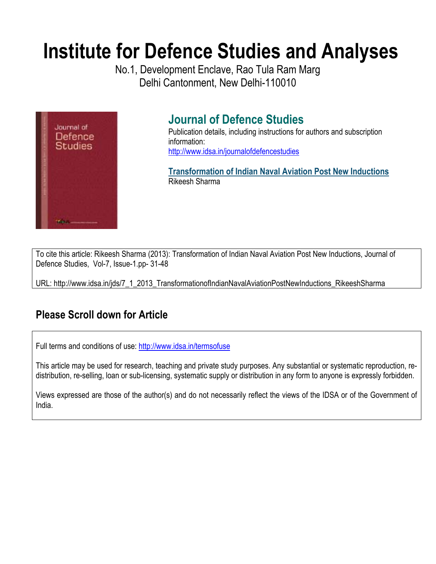# **Institute for Defence Studies and Analyses**

No.1, Development Enclave, Rao Tula Ram Marg Delhi Cantonment, New Delhi-110010



## **Journal of Defence Studies**

Publication details, including instructions for authors and subscription information: http://www.idsa.in/journalofdefencestudies

**Transformation of Indian Naval Aviation Post New Inductions**  Rikeesh Sharma

To cite this article: Rikeesh Sharma (2013): Transformation of Indian Naval Aviation Post New Inductions, Journal of Defence Studies, Vol-7, Issue-1.pp- 31-48

URL: http://www.idsa.in/jds/7\_1\_2013\_TransformationofIndianNavalAviationPostNewInductions\_RikeeshSharma

## **Please Scroll down for Article**

Full terms and conditions of use: http://www.idsa.in/termsofuse

This article may be used for research, teaching and private study purposes. Any substantial or systematic reproduction, redistribution, re-selling, loan or sub-licensing, systematic supply or distribution in any form to anyone is expressly forbidden.

Views expressed are those of the author(s) and do not necessarily reflect the views of the IDSA or of the Government of India.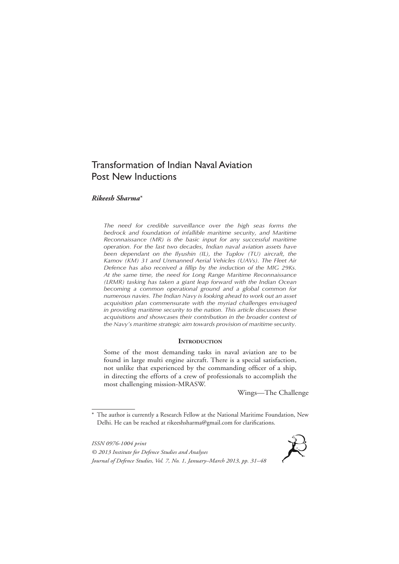### Transformation of Indian Naval Aviation Post New Inductions

#### *Rikeesh Sharma*\*

*The need for credible surveillance over the high seas forms the bedrock and foundation of infallible maritime security, and Maritime Reconnaissance (MR) is the basic input for any successful maritime operation. For the last two decades, Indian naval aviation assets have been dependant on the Ilyushin (IL), the Tuplov (TU) aircraft, the Kamov (KM) 31 and Unmanned Aerial Vehicles (UAVs). The Fleet Air Defence has also received a fillip by the induction of the MIG 29Ks. At the same time, the need for Long Range Maritime Reconnaissance (LRMR) tasking has taken a giant leap forward with the Indian Ocean becoming a common operational ground and a global common for numerous navies. The Indian Navy is looking ahead to work out an asset acquisition plan commensurate with the myriad challenges envisaged in providing maritime security to the nation. This article discusses these acquisitions and showcases their contribution in the broader context of the Navy's maritime strategic aim towards provision of maritime security.*

#### **INTRODUCTION**

Some of the most demanding tasks in naval aviation are to be found in large multi engine aircraft. There is a special satisfaction, not unlike that experienced by the commanding officer of a ship, in directing the efforts of a crew of professionals to accomplish the most challenging mission-MRASW.

Wings—The Challenge

*ISSN 0976-1004 print © 2013 Institute for Defence Studies and Analyses Journal of Defence Studies, Vol. 7, No. 1, January–March 2013, pp. 31–48*



<sup>\*</sup> The author is currently a Research Fellow at the National Maritime Foundation, New Delhi. He can be reached at rikeeshsharma@gmail.com for clarifications.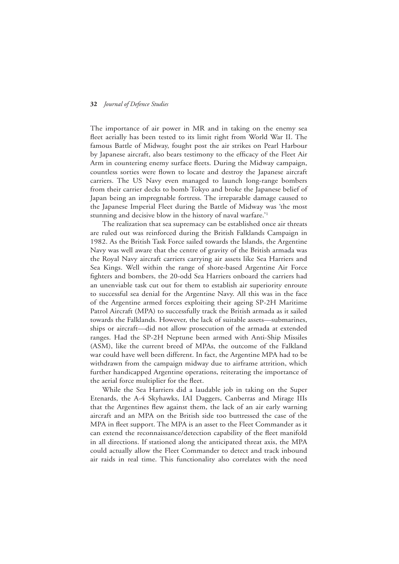The importance of air power in MR and in taking on the enemy sea fleet aerially has been tested to its limit right from World War II. The famous Battle of Midway, fought post the air strikes on Pearl Harbour by Japanese aircraft, also bears testimony to the efficacy of the Fleet Air Arm in countering enemy surface fleets. During the Midway campaign, countless sorties were flown to locate and destroy the Japanese aircraft carriers. The US Navy even managed to launch long-range bombers from their carrier decks to bomb Tokyo and broke the Japanese belief of Japan being an impregnable fortress. The irreparable damage caused to the Japanese Imperial Fleet during the Battle of Midway was 'the most stunning and decisive blow in the history of naval warfare.<sup>11</sup>

The realization that sea supremacy can be established once air threats are ruled out was reinforced during the British Falklands Campaign in 1982. As the British Task Force sailed towards the Islands, the Argentine Navy was well aware that the centre of gravity of the British armada was the Royal Navy aircraft carriers carrying air assets like Sea Harriers and Sea Kings. Well within the range of shore-based Argentine Air Force fighters and bombers, the 20-odd Sea Harriers onboard the carriers had an unenviable task cut out for them to establish air superiority enroute to successful sea denial for the Argentine Navy. All this was in the face of the Argentine armed forces exploiting their ageing SP-2H Maritime Patrol Aircraft (MPA) to successfully track the British armada as it sailed towards the Falklands. However, the lack of suitable assets—submarines, ships or aircraft—did not allow prosecution of the armada at extended ranges. Had the SP-2H Neptune been armed with Anti-Ship Missiles (ASM), like the current breed of MPAs, the outcome of the Falkland war could have well been different. In fact, the Argentine MPA had to be withdrawn from the campaign midway due to airframe attrition, which further handicapped Argentine operations, reiterating the importance of the aerial force multiplier for the fleet.

While the Sea Harriers did a laudable job in taking on the Super Etenards, the A-4 Skyhawks, IAI Daggers, Canberras and Mirage IIIs that the Argentines flew against them, the lack of an air early warning aircraft and an MPA on the British side too buttressed the case of the MPA in fleet support. The MPA is an asset to the Fleet Commander as it can extend the reconnaissance/detection capability of the fleet manifold in all directions. If stationed along the anticipated threat axis, the MPA could actually allow the Fleet Commander to detect and track inbound air raids in real time. This functionality also correlates with the need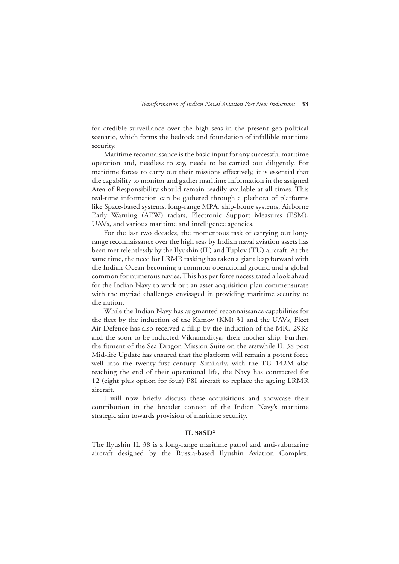for credible surveillance over the high seas in the present geo-political scenario, which forms the bedrock and foundation of infallible maritime security.

Maritime reconnaissance is the basic input for any successful maritime operation and, needless to say, needs to be carried out diligently. For maritime forces to carry out their missions effectively, it is essential that the capability to monitor and gather maritime information in the assigned Area of Responsibility should remain readily available at all times. This real-time information can be gathered through a plethora of platforms like Space-based systems, long-range MPA, ship-borne systems, Airborne Early Warning (AEW) radars, Electronic Support Measures (ESM), UAVs, and various maritime and intelligence agencies.

For the last two decades, the momentous task of carrying out longrange reconnaissance over the high seas by Indian naval aviation assets has been met relentlessly by the Ilyushin (IL) and Tuplov (TU) aircraft. At the same time, the need for LRMR tasking has taken a giant leap forward with the Indian Ocean becoming a common operational ground and a global common for numerous navies. This has per force necessitated a look ahead for the Indian Navy to work out an asset acquisition plan commensurate with the myriad challenges envisaged in providing maritime security to the nation.

While the Indian Navy has augmented reconnaissance capabilities for the fleet by the induction of the Kamov (KM) 31 and the UAVs, Fleet Air Defence has also received a fillip by the induction of the MIG 29Ks and the soon-to-be-inducted Vikramaditya, their mother ship. Further, the fitment of the Sea Dragon Mission Suite on the erstwhile IL 38 post Mid-life Update has ensured that the platform will remain a potent force well into the twenty-first century. Similarly, with the TU 142M also reaching the end of their operational life, the Navy has contracted for 12 (eight plus option for four) P8I aircraft to replace the ageing LRMR aircraft.

I will now briefly discuss these acquisitions and showcase their contribution in the broader context of the Indian Navy's maritime strategic aim towards provision of maritime security.

#### **IL 38SD2**

The Ilyushin IL 38 is a long-range maritime patrol and anti-submarine aircraft designed by the Russia-based Ilyushin Aviation Complex.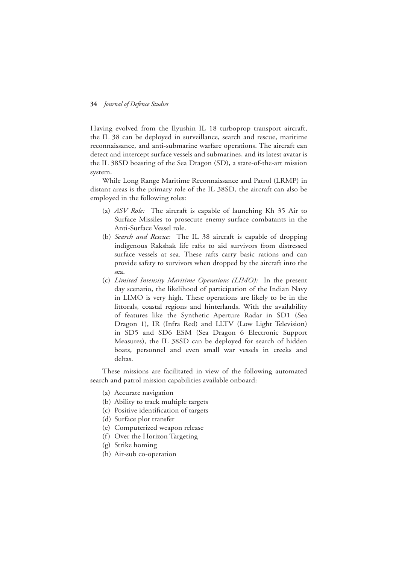Having evolved from the Ilyushin IL 18 turboprop transport aircraft, the IL 38 can be deployed in surveillance, search and rescue, maritime reconnaissance, and anti-submarine warfare operations. The aircraft can detect and intercept surface vessels and submarines, and its latest avatar is the IL 38SD boasting of the Sea Dragon (SD), a state-of-the-art mission system.

While Long Range Maritime Reconnaissance and Patrol (LRMP) in distant areas is the primary role of the IL 38SD, the aircraft can also be employed in the following roles:

- (a) *ASV Role:* The aircraft is capable of launching Kh 35 Air to Surface Missiles to prosecute enemy surface combatants in the Anti-Surface Vessel role.
- (b) *Search and Rescue:* The IL 38 aircraft is capable of dropping indigenous Rakshak life rafts to aid survivors from distressed surface vessels at sea. These rafts carry basic rations and can provide safety to survivors when dropped by the aircraft into the sea.
- (c) *Limited Intensity Maritime Operations (LIMO):* In the present day scenario, the likelihood of participation of the Indian Navy in LIMO is very high. These operations are likely to be in the littorals, coastal regions and hinterlands. With the availability of features like the Synthetic Aperture Radar in SD1 (Sea Dragon 1), IR (Infra Red) and LLTV (Low Light Television) in SD5 and SD6 ESM (Sea Dragon 6 Electronic Support Measures), the IL 38SD can be deployed for search of hidden boats, personnel and even small war vessels in creeks and deltas.

These missions are facilitated in view of the following automated search and patrol mission capabilities available onboard:

- (a) Accurate navigation
- (b) Ability to track multiple targets
- (c) Positive identification of targets
- (d) Surface plot transfer
- (e) Computerized weapon release
- (f) Over the Horizon Targeting
- (g) Strike homing
- (h) Air-sub co-operation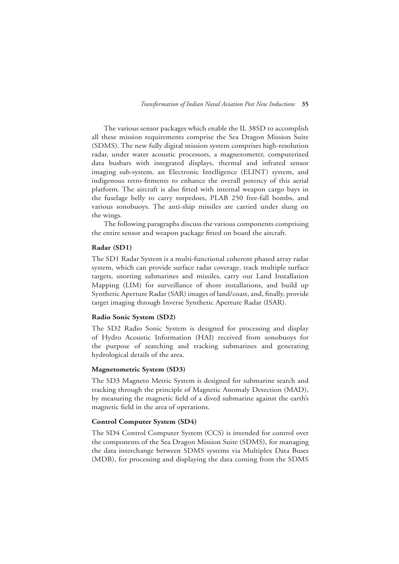The various sensor packages which enable the IL 38SD to accomplish all these mission requirements comprise the Sea Dragon Mission Suite (SDMS). The new fully digital mission system comprises high-resolution radar, under water acoustic processors, a magnetometer, computerized data busbars with integrated displays, thermal and infrared sensor imaging sub-system, an Electronic Intelligence (ELINT) system, and indigenous retro-fitments to enhance the overall potency of this aerial platform. The aircraft is also fitted with internal weapon cargo bays in the fuselage belly to carry torpedoes, PLAB 250 free-fall bombs, and various sonobuoys. The anti-ship missiles are carried under slung on the wings.

The following paragraphs discuss the various components comprising the entire sensor and weapon package fitted on board the aircraft.

#### **Radar (SD1)**

The SD1 Radar System is a multi-functional coherent phased array radar system, which can provide surface radar coverage, track multiple surface targets, snorting submarines and missiles, carry out Land Installation Mapping (LIM) for surveillance of shore installations, and build up Synthetic Aperture Radar (SAR) images of land/coast, and, finally, provide target imaging through Inverse Synthetic Aperture Radar (ISAR).

#### **Radio Sonic System (SD2)**

The SD2 Radio Sonic System is designed for processing and display of Hydro Acoustic Information (HAI) received from sonobuoys for the purpose of searching and tracking submarines and generating hydrological details of the area.

#### **Magnetometric System (SD3)**

The SD3 Magneto Metric System is designed for submarine search and tracking through the principle of Magnetic Anomaly Detection (MAD), by measuring the magnetic field of a dived submarine against the earth's magnetic field in the area of operations.

#### **Control Computer System (SD4)**

The SD4 Control Computer System (CCS) is intended for control over the components of the Sea Dragon Mission Suite (SDMS), for managing the data interchange between SDMS systems via Multiplex Data Buses (MDB), for processing and displaying the data coming from the SDMS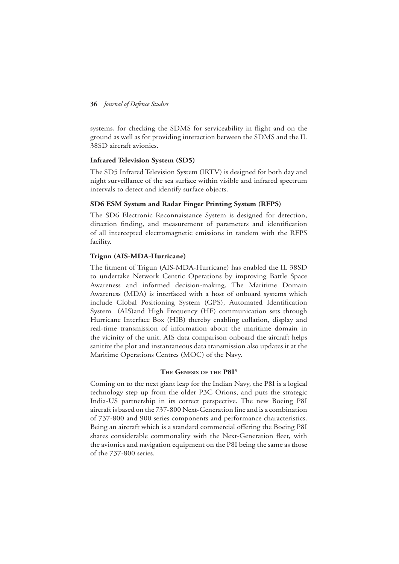systems, for checking the SDMS for serviceability in flight and on the ground as well as for providing interaction between the SDMS and the IL 38SD aircraft avionics.

#### **Infrared Television System (SD5)**

The SD5 Infrared Television System (IRTV) is designed for both day and night surveillance of the sea surface within visible and infrared spectrum intervals to detect and identify surface objects.

#### **SD6 ESM System and Radar Finger Printing System (RFPS)**

The SD6 Electronic Reconnaissance System is designed for detection, direction finding, and measurement of parameters and identification of all intercepted electromagnetic emissions in tandem with the RFPS facility.

#### **Trigun (AIS-MDA-Hurricane)**

The fitment of Trigun (AIS-MDA-Hurricane) has enabled the IL 38SD to undertake Network Centric Operations by improving Battle Space Awareness and informed decision-making. The Maritime Domain Awareness (MDA) is interfaced with a host of onboard systems which include Global Positioning System (GPS), Automated Identification System (AIS)and High Frequency (HF) communication sets through Hurricane Interface Box (HIB) thereby enabling collation, display and real-time transmission of information about the maritime domain in the vicinity of the unit. AIS data comparison onboard the aircraft helps sanitize the plot and instantaneous data transmission also updates it at the Maritime Operations Centres (MOC) of the Navy.

#### **The Genesis of the P8I3**

Coming on to the next giant leap for the Indian Navy, the P8I is a logical technology step up from the older P3C Orions, and puts the strategic India-US partnership in its correct perspective. The new Boeing P8I aircraft is based on the 737-800 Next-Generation line and is a combination of 737-800 and 900 series components and performance characteristics. Being an aircraft which is a standard commercial offering the Boeing P8I shares considerable commonality with the Next-Generation fleet, with the avionics and navigation equipment on the P8I being the same as those of the 737-800 series.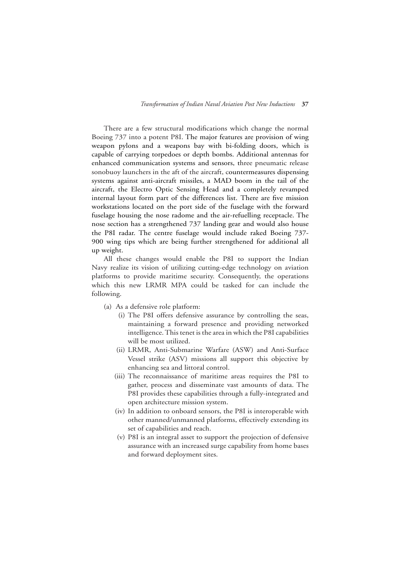There are a few structural modifications which change the normal Boeing 737 into a potent P8I. The major features are provision of wing weapon pylons and a weapons bay with bi-folding doors, which is capable of carrying torpedoes or depth bombs. Additional antennas for enhanced communication systems and sensors, three pneumatic release sonobuoy launchers in the aft of the aircraft, countermeasures dispensing systems against anti-aircraft missiles, a MAD boom in the tail of the aircraft, the Electro Optic Sensing Head and a completely revamped internal layout form part of the differences list. There are five mission workstations located on the port side of the fuselage with the forward fuselage housing the nose radome and the air-refuelling receptacle. The nose section has a strengthened 737 landing gear and would also house the P8I radar. The centre fuselage would include raked Boeing 737- 900 wing tips which are being further strengthened for additional all up weight.

All these changes would enable the P8I to support the Indian Navy realize its vision of utilizing cutting-edge technology on aviation platforms to provide maritime security. Consequently, the operations which this new LRMR MPA could be tasked for can include the following.

- (a) As a defensive role platform:
	- (i) The P8I offers defensive assurance by controlling the seas, maintaining a forward presence and providing networked intelligence. This tenet is the area in which the P8I capabilities will be most utilized.
	- (ii) LRMR, Anti-Submarine Warfare (ASW) and Anti-Surface Vessel strike (ASV) missions all support this objective by enhancing sea and littoral control.
	- (iii) The reconnaissance of maritime areas requires the P8I to gather, process and disseminate vast amounts of data. The P8I provides these capabilities through a fully-integrated and open architecture mission system.
	- (iv) In addition to onboard sensors, the P8I is interoperable with other manned/unmanned platforms, effectively extending its set of capabilities and reach.
	- (v) P8I is an integral asset to support the projection of defensive assurance with an increased surge capability from home bases and forward deployment sites.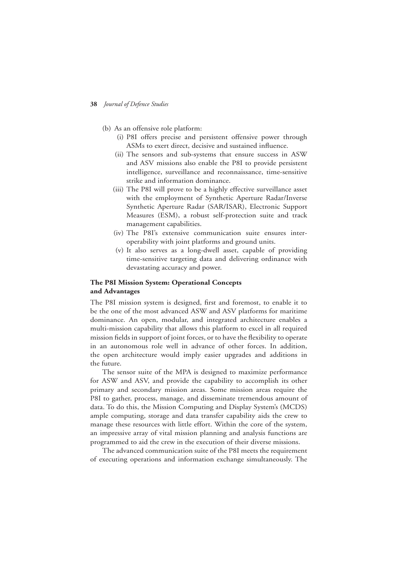- (b) As an offensive role platform:
	- (i) P8I offers precise and persistent offensive power through ASMs to exert direct, decisive and sustained influence.
	- (ii) The sensors and sub-systems that ensure success in ASW and ASV missions also enable the P8I to provide persistent intelligence, surveillance and reconnaissance, time-sensitive strike and information dominance.
	- (iii) The P8I will prove to be a highly effective surveillance asset with the employment of Synthetic Aperture Radar/Inverse Synthetic Aperture Radar (SAR/ISAR), Electronic Support Measures (ESM), a robust self-protection suite and track management capabilities.
	- (iv) The P8I's extensive communication suite ensures interoperability with joint platforms and ground units.
	- (v) It also serves as a long-dwell asset, capable of providing time-sensitive targeting data and delivering ordinance with devastating accuracy and power.

#### **The P8I Mission System: Operational Concepts and Advantages**

The P8I mission system is designed, first and foremost, to enable it to be the one of the most advanced ASW and ASV platforms for maritime dominance. An open, modular, and integrated architecture enables a multi-mission capability that allows this platform to excel in all required mission fields in support of joint forces, or to have the flexibility to operate in an autonomous role well in advance of other forces. In addition, the open architecture would imply easier upgrades and additions in the future.

The sensor suite of the MPA is designed to maximize performance for ASW and ASV, and provide the capability to accomplish its other primary and secondary mission areas. Some mission areas require the P8I to gather, process, manage, and disseminate tremendous amount of data. To do this, the Mission Computing and Display System's (MCDS) ample computing, storage and data transfer capability aids the crew to manage these resources with little effort. Within the core of the system, an impressive array of vital mission planning and analysis functions are programmed to aid the crew in the execution of their diverse missions.

The advanced communication suite of the P8I meets the requirement of executing operations and information exchange simultaneously. The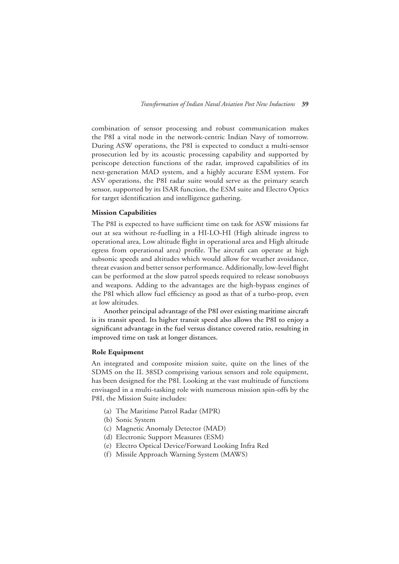combination of sensor processing and robust communication makes the P8I a vital node in the network-centric Indian Navy of tomorrow. During ASW operations, the P8I is expected to conduct a multi-sensor prosecution led by its acoustic processing capability and supported by periscope detection functions of the radar, improved capabilities of its next-generation MAD system, and a highly accurate ESM system. For ASV operations, the P8I radar suite would serve as the primary search sensor, supported by its ISAR function, the ESM suite and Electro Optics for target identification and intelligence gathering.

#### **Mission Capabilities**

The P8I is expected to have sufficient time on task for ASW missions far out at sea without re-fuelling in a HI-LO-HI (High altitude ingress to operational area, Low altitude flight in operational area and High altitude egress from operational area) profile. The aircraft can operate at high subsonic speeds and altitudes which would allow for weather avoidance, threat evasion and better sensor performance. Additionally, low-level flight can be performed at the slow patrol speeds required to release sonobuoys and weapons. Adding to the advantages are the high-bypass engines of the P8I which allow fuel efficiency as good as that of a turbo-prop, even at low altitudes.

Another principal advantage of the P8I over existing maritime aircraft is its transit speed. Its higher transit speed also allows the P8I to enjoy a significant advantage in the fuel versus distance covered ratio, resulting in improved time on task at longer distances.

#### **Role Equipment**

An integrated and composite mission suite, quite on the lines of the SDMS on the IL 38SD comprising various sensors and role equipment, has been designed for the P8I. Looking at the vast multitude of functions envisaged in a multi-tasking role with numerous mission spin-offs by the P8I, the Mission Suite includes:

- (a) The Maritime Patrol Radar (MPR)
- (b) Sonic System
- (c) Magnetic Anomaly Detector (MAD)
- (d) Electronic Support Measures (ESM)
- (e) Electro Optical Device/Forward Looking Infra Red
- (f) Missile Approach Warning System (MAWS)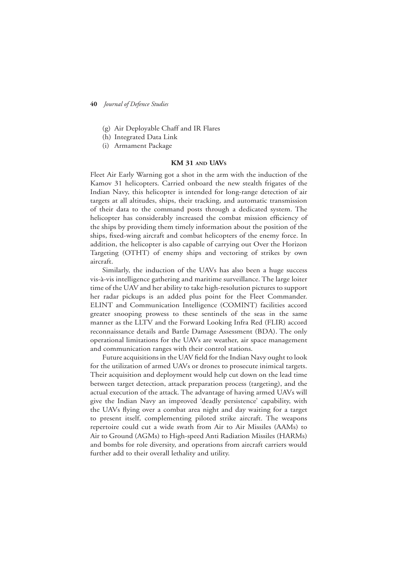- (g) Air Deployable Chaff and IR Flares
- (h) Integrated Data Link
- (i) Armament Package

#### **KM 31 and UAVs**

Fleet Air Early Warning got a shot in the arm with the induction of the Kamov 31 helicopters. Carried onboard the new stealth frigates of the Indian Navy, this helicopter is intended for long-range detection of air targets at all altitudes, ships, their tracking, and automatic transmission of their data to the command posts through a dedicated system. The helicopter has considerably increased the combat mission efficiency of the ships by providing them timely information about the position of the ships, fixed-wing aircraft and combat helicopters of the enemy force. In addition, the helicopter is also capable of carrying out Over the Horizon Targeting (OTHT) of enemy ships and vectoring of strikes by own aircraft.

Similarly, the induction of the UAVs has also been a huge success vis-à-vis intelligence gathering and maritime surveillance. The large loiter time of the UAV and her ability to take high-resolution pictures to support her radar pickups is an added plus point for the Fleet Commander. ELINT and Communication Intelligence (COMINT) facilities accord greater snooping prowess to these sentinels of the seas in the same manner as the LLTV and the Forward Looking Infra Red (FLIR) accord reconnaissance details and Battle Damage Assessment (BDA). The only operational limitations for the UAVs are weather, air space management and communication ranges with their control stations.

Future acquisitions in the UAV field for the Indian Navy ought to look for the utilization of armed UAVs or drones to prosecute inimical targets. Their acquisition and deployment would help cut down on the lead time between target detection, attack preparation process (targeting), and the actual execution of the attack. The advantage of having armed UAVs will give the Indian Navy an improved 'deadly persistence' capability, with the UAVs flying over a combat area night and day waiting for a target to present itself, complementing piloted strike aircraft. The weapons repertoire could cut a wide swath from Air to Air Missiles (AAMs) to Air to Ground (AGMs) to High-speed Anti Radiation Missiles (HARMs) and bombs for role diversity, and operations from aircraft carriers would further add to their overall lethality and utility.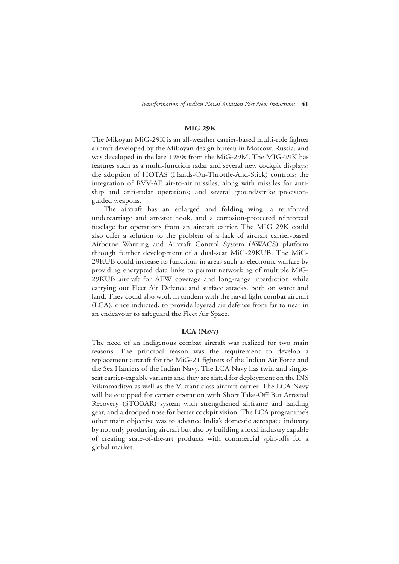#### **MIG 29K**

The Mikoyan MiG-29K is an all-weather carrier-based multi-role fighter aircraft developed by the Mikoyan design bureau in Moscow, Russia, and was developed in the late 1980s from the MiG-29M. The MIG-29K has features such as a multi-function radar and several new cockpit displays; the adoption of HOTAS (Hands-On-Throttle-And-Stick) controls; the integration of RVV-AE air-to-air missiles, along with missiles for antiship and anti-radar operations; and several ground/strike precisionguided weapons.

The aircraft has an enlarged and folding wing, a reinforced undercarriage and arrester hook, and a corrosion-protected reinforced fuselage for operations from an aircraft carrier. The MIG 29K could also offer a solution to the problem of a lack of aircraft carrier-based Airborne Warning and Aircraft Control System (AWACS) platform through further development of a dual-seat MiG-29KUB. The MiG-29KUB could increase its functions in areas such as electronic warfare by providing encrypted data links to permit networking of multiple MiG-29KUB aircraft for AEW coverage and long-range interdiction while carrying out Fleet Air Defence and surface attacks, both on water and land. They could also work in tandem with the naval light combat aircraft (LCA), once inducted, to provide layered air defence from far to near in an endeavour to safeguard the Fleet Air Space.

#### **LCA (Navy)**

The need of an indigenous combat aircraft was realized for two main reasons. The principal reason was the requirement to develop a replacement aircraft for the MiG-21 fighters of the Indian Air Force and the Sea Harriers of the Indian Navy. The LCA Navy has twin and singleseat carrier-capable variants and they are slated for deployment on the INS Vikramaditya as well as the Vikrant class aircraft carrier. The LCA Navy will be equipped for carrier operation with Short Take-Off But Arrested Recovery (STOBAR) system with strengthened airframe and landing gear, and a drooped nose for better cockpit vision. The LCA programme's other main objective was to advance India's domestic aerospace industry by not only producing aircraft but also by building a local industry capable of creating state-of-the-art products with commercial spin-offs for a global market.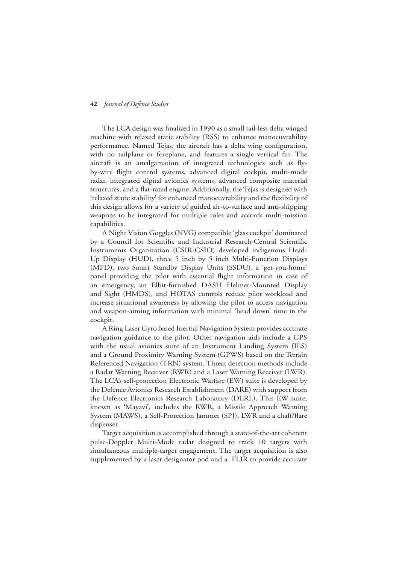The LCA design was finalized in 1990 as a small tail-less delta winged machine with relaxed static stability (RSS) to enhance manoeuvrability performance. Named Tejas, the aircraft has a delta wing configuration, with no tailplane or foreplane, and features a single vertical fin. The aircraft is an amalgamation of integrated technologies such as flyby-wire flight control systems, advanced digital cockpit, multi-mode radar, integrated digital avionics systems, advanced composite material structures, and a flat-rated engine. Additionally, the Tejas is designed with 'relaxed static stability' for enhanced manoeuvrability and the flexibility of this design allows for a variety of guided air-to-surface and anti-shipping weapons to be integrated for multiple roles and accords multi-mission capabilities.

A Night Vision Goggles (NVG) compatible 'glass cockpit' dominated by a Council for Scientific and Industrial Research-Central Scientific Instruments Organization (CSIR-CSIO) developed indigenous Head-Up Display (HUD), three 5 inch by 5 inch Multi-Function Displays (MFD), two Smart Standby Display Units (SSDU), a 'get-you-home' panel providing the pilot with essential flight information in case of an emergency, an Elbit-furnished DASH Helmet-Mounted Display and Sight (HMDS), and HOTAS controls reduce pilot workload and increase situational awareness by allowing the pilot to access navigation and weapon-aiming information with minimal 'head down' time in the cockpit.

A Ring Laser Gyro based Inertial Navigation System provides accurate navigation guidance to the pilot. Other navigation aids include a GPS with the usual avionics suite of an Instrument Landing System (ILS) and a Ground Proximity Warning System (GPWS) based on the Terrain Referenced Navigation (TRN) system. Threat detection methods include a Radar Warning Receiver (RWR) and a Laser Warning Receiver (LWR). The LCA's self-protection Electronic Warfare (EW) suite is developed by the Defence Avionics Research Establishment (DARE) with support from the Defence Electronics Research Laboratory (DLRL). This EW suite, known as 'Mayavi', includes the RWR, a Missile Approach Warning System (MAWS), a Self-Protection Jammer (SPJ), LWR and a chaff/flare dispenser.

Target acquisition is accomplished through a state-of-the-art coherent pulse-Doppler Multi-Mode radar designed to track 10 targets with simultaneous multiple-target engagement. The target acquisition is also supplemented by a laser designator pod and a FLIR to provide accurate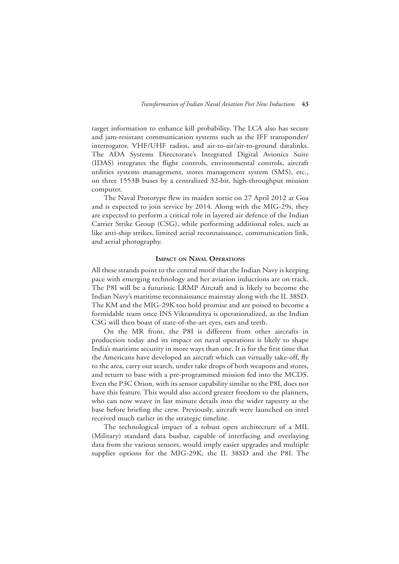target information to enhance kill probability. The LCA also has secure and jam-resistant communication systems such as the IFF transponder/ interrogator, VHF/UHF radios, and air-to-air/air-to-ground datalinks. The ADA Systems Directorate's Integrated Digital Avionics Suite (IDAS) integrates the flight controls, environmental controls, aircraft utilities systems management, stores management system (SMS), etc., on three 1553B buses by a centralized 32-bit, high-throughput mission computer.

The Naval Prototype flew its maiden sortie on 27 April 2012 at Goa and is expected to join service by 2014. Along with the MIG-29s, they are expected to perform a critical role in layered air defence of the Indian Carrier Strike Group (CSG), while performing additional roles, such as like anti-ship strikes, limited aerial reconnaissance, communication link, and aerial photography.

#### **Impact on Naval Operations**

All these strands point to the central motif that the Indian Navy is keeping pace with emerging technology and her aviation inductions are on track. The P8I will be a futuristic LRMP Aircraft and is likely to become the Indian Navy's maritime reconnaissance mainstay along with the IL 38SD. The KM and the MIG-29K too hold promise and are poised to become a formidable team once INS Vikramditya is operationalized, as the Indian CSG will then boast of state-of-the-art eyes, ears and teeth.

On the MR front, the P8I is different from other aircrafts in production today and its impact on naval operations is likely to shape India's maritime security in more ways than one. It is for the first time that the Americans have developed an aircraft which can virtually take-off, fly to the area, carry out search, under take drops of both weapons and stores, and return to base with a pre-programmed mission fed into the MCDS. Even the P3C Orion, with its sensor capability similar to the P8I, does not have this feature. This would also accord greater freedom to the planners, who can now weave in last minute details into the wider tapestry at the base before briefing the crew. Previously, aircraft were launched on intel received much earlier in the strategic timeline.

The technological impact of a robust open architecture of a MIL (Military) standard data busbar, capable of interfacing and overlaying data from the various sensors, would imply easier upgrades and multiple supplier options for the MIG-29K, the IL 38SD and the P8I. The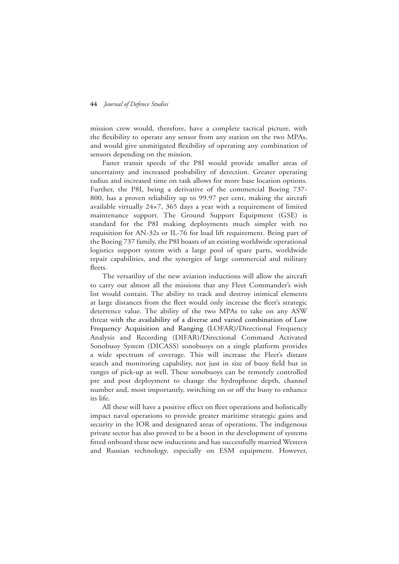mission crew would, therefore, have a complete tactical picture, with the flexibility to operate any sensor from any station on the two MPAs, and would give unmitigated flexibility of operating any combination of sensors depending on the mission.

Faster transit speeds of the P8I would provide smaller areas of uncertainty and increased probability of detection. Greater operating radius and increased time on task allows for more base location options. Further, the P8I, being a derivative of the commercial Boeing 737- 800, has a proven reliability up to 99.97 per cent, making the aircraft available virtually 24×7, 365 days a year with a requirement of limited maintenance support. The Ground Support Equipment (GSE) is standard for the P8I making deployments much simpler with no requisition for AN-32s or IL-76 for load lift requirement. Being part of the Boeing 737 family, the P8I boasts of an existing worldwide operational logistics support system with a large pool of spare parts, worldwide repair capabilities, and the synergies of large commercial and military fleets.

The versatility of the new aviation inductions will allow the aircraft to carry out almost all the missions that any Fleet Commander's wish list would contain. The ability to track and destroy inimical elements at large distances from the fleet would only increase the fleet's strategic deterrence value. The ability of the two MPAs to take on any ASW threat with the availability of a diverse and varied combination of Low Frequency Acquisition and Ranging (LOFAR)/Directional Frequency Analysis and Recording (DIFAR)/Directional Command Activated Sonobuoy System (DICASS) sonobuoys on a single platform provides a wide spectrum of coverage. This will increase the Fleet's distant search and monitoring capability, not just in size of buoy field but in ranges of pick-up as well. These sonobuoys can be remotely controlled pre and post deployment to change the hydrophone depth, channel number and, most importantly, switching on or off the buoy to enhance its life.

All these will have a positive effect on fleet operations and holistically impact naval operations to provide greater maritime strategic gains and security in the IOR and designated areas of operations. The indigenous private sector has also proved to be a boon in the development of systems fitted onboard these new inductions and has successfully married Western and Russian technology, especially on ESM equipment. However,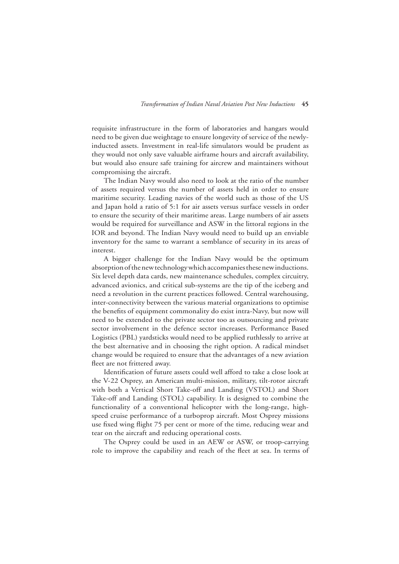requisite infrastructure in the form of laboratories and hangars would need to be given due weightage to ensure longevity of service of the newlyinducted assets. Investment in real-life simulators would be prudent as they would not only save valuable airframe hours and aircraft availability, but would also ensure safe training for aircrew and maintainers without compromising the aircraft.

The Indian Navy would also need to look at the ratio of the number of assets required versus the number of assets held in order to ensure maritime security. Leading navies of the world such as those of the US and Japan hold a ratio of 5:1 for air assets versus surface vessels in order to ensure the security of their maritime areas. Large numbers of air assets would be required for surveillance and ASW in the littoral regions in the IOR and beyond. The Indian Navy would need to build up an enviable inventory for the same to warrant a semblance of security in its areas of interest.

A bigger challenge for the Indian Navy would be the optimum absorption of the new technology which accompanies these new inductions. Six level depth data cards, new maintenance schedules, complex circuitry, advanced avionics, and critical sub-systems are the tip of the iceberg and need a revolution in the current practices followed. Central warehousing, inter-connectivity between the various material organizations to optimise the benefits of equipment commonality do exist intra-Navy, but now will need to be extended to the private sector too as outsourcing and private sector involvement in the defence sector increases. Performance Based Logistics (PBL) yardsticks would need to be applied ruthlessly to arrive at the best alternative and in choosing the right option. A radical mindset change would be required to ensure that the advantages of a new aviation fleet are not frittered away.

Identification of future assets could well afford to take a close look at the V-22 Osprey, an American multi-mission, military, tilt-rotor aircraft with both a Vertical Short Take-off and Landing (VSTOL) and Short Take-off and Landing (STOL) capability. It is designed to combine the functionality of a conventional helicopter with the long-range, highspeed cruise performance of a turboprop aircraft. Most Osprey missions use fixed wing flight 75 per cent or more of the time, reducing wear and tear on the aircraft and reducing operational costs.

The Osprey could be used in an AEW or ASW, or troop-carrying role to improve the capability and reach of the fleet at sea. In terms of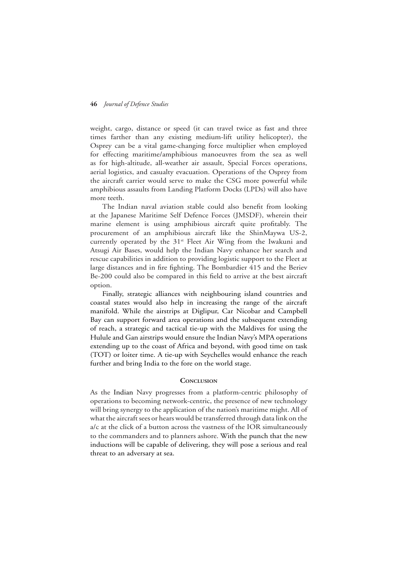weight, cargo, distance or speed (it can travel twice as fast and three times farther than any existing medium-lift utility helicopter), the Osprey can be a vital game-changing force multiplier when employed for effecting maritime/amphibious manoeuvres from the sea as well as for high-altitude, all-weather air assault, Special Forces operations, aerial logistics, and casualty evacuation. Operations of the Osprey from the aircraft carrier would serve to make the CSG more powerful while amphibious assaults from Landing Platform Docks (LPDs) will also have more teeth.

The Indian naval aviation stable could also benefit from looking at the Japanese Maritime Self Defence Forces (JMSDF), wherein their marine element is using amphibious aircraft quite profitably. The procurement of an amphibious aircraft like the ShinMaywa US-2, currently operated by the 31<sup>st</sup> Fleet Air Wing from the Iwakuni and Atsugi Air Bases, would help the Indian Navy enhance her search and rescue capabilities in addition to providing logistic support to the Fleet at large distances and in fire fighting. The Bombardier 415 and the Beriev Be-200 could also be compared in this field to arrive at the best aircraft option.

Finally, strategic alliances with neighbouring island countries and coastal states would also help in increasing the range of the aircraft manifold. While the airstrips at Diglipur, Car Nicobar and Campbell Bay can support forward area operations and the subsequent extending of reach, a strategic and tactical tie-up with the Maldives for using the Hulule and Gan airstrips would ensure the Indian Navy's MPA operations extending up to the coast of Africa and beyond, with good time on task (TOT) or loiter time. A tie-up with Seychelles would enhance the reach further and bring India to the fore on the world stage.

#### **Conclusion**

As the Indian Navy progresses from a platform-centric philosophy of operations to becoming network-centric, the presence of new technology will bring synergy to the application of the nation's maritime might. All of what the aircraft sees or hears would be transferred through data link on the a/c at the click of a button across the vastness of the IOR simultaneously to the commanders and to planners ashore. With the punch that the new inductions will be capable of delivering, they will pose a serious and real threat to an adversary at sea.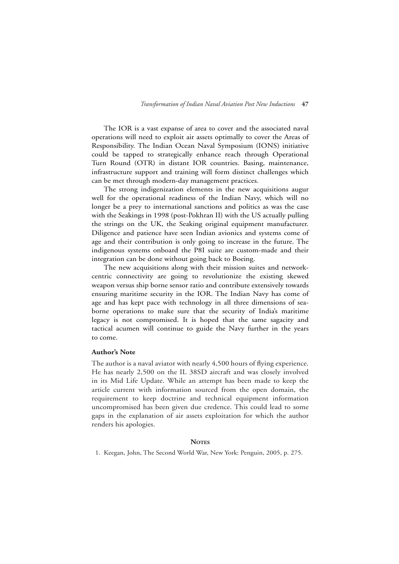The IOR is a vast expanse of area to cover and the associated naval operations will need to exploit air assets optimally to cover the Areas of Responsibility. The Indian Ocean Naval Symposium (IONS) initiative could be tapped to strategically enhance reach through Operational Turn Round (OTR) in distant IOR countries. Basing, maintenance, infrastructure support and training will form distinct challenges which can be met through modern-day management practices.

The strong indigenization elements in the new acquisitions augur well for the operational readiness of the Indian Navy, which will no longer be a prey to international sanctions and politics as was the case with the Seakings in 1998 (post-Pokhran II) with the US actually pulling the strings on the UK, the Seaking original equipment manufacturer. Diligence and patience have seen Indian avionics and systems come of age and their contribution is only going to increase in the future. The indigenous systems onboard the P8I suite are custom-made and their integration can be done without going back to Boeing.

The new acquisitions along with their mission suites and networkcentric connectivity are going to revolutionize the existing skewed weapon versus ship borne sensor ratio and contribute extensively towards ensuring maritime security in the IOR. The Indian Navy has come of age and has kept pace with technology in all three dimensions of seaborne operations to make sure that the security of India's maritime legacy is not compromised. It is hoped that the same sagacity and tactical acumen will continue to guide the Navy further in the years to come.

#### **Author's Note**

The author is a naval aviator with nearly 4,500 hours of flying experience. He has nearly 2,500 on the IL 38SD aircraft and was closely involved in its Mid Life Update. While an attempt has been made to keep the article current with information sourced from the open domain, the requirement to keep doctrine and technical equipment information uncompromised has been given due credence. This could lead to some gaps in the explanation of air assets exploitation for which the author renders his apologies.

#### **NOTES**

1. Keegan, John, The Second World War, New York: Penguin, 2005, p. 275.